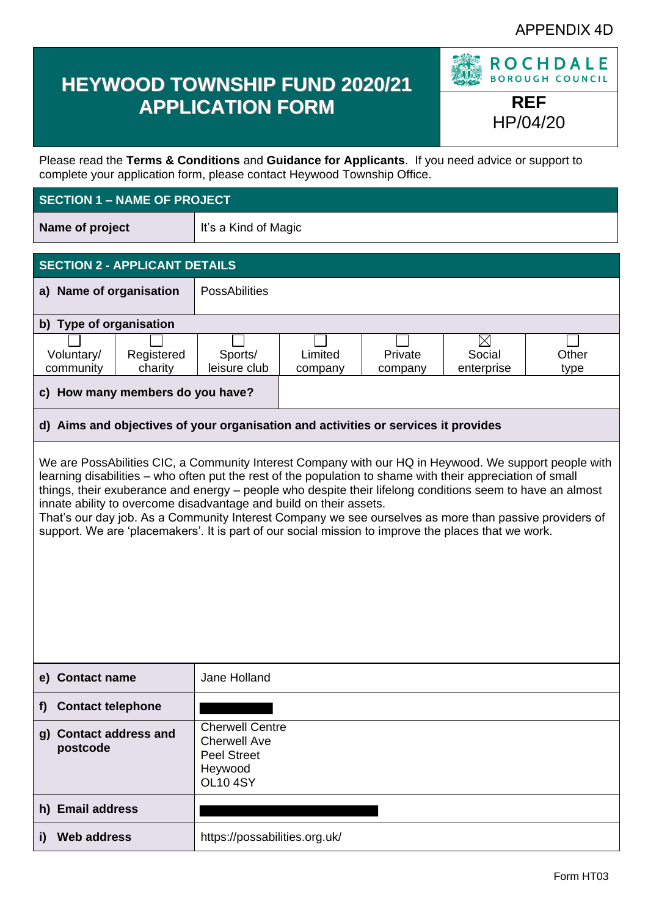## APPENDIX 4D

# **HEYWOOD TOWNSHIP FUND 2020/21 APPLICATION FORM REF**



HP/04/20

Please read the **Terms & Conditions** and **Guidance for Applicants**. If you need advice or support to complete your application form, please contact Heywood Township Office.

#### **SECTION 1 – NAME OF PROJECT**

| Name of project | It's a Kind of Magic |
|-----------------|----------------------|
|-----------------|----------------------|

#### **SECTION 2 - APPLICANT DETAILS a) Name of organisation** | PossAbilities **b) Type of organisation** ⊠ Voluntary/ Registered Sports/ Limited Private Social **Other** community charity leisure club enterprise company company type **c) How many members do you have?**

#### **d) Aims and objectives of your organisation and activities or services it provides**

We are PossAbilities CIC, a Community Interest Company with our HQ in Heywood. We support people with learning disabilities – who often put the rest of the population to shame with their appreciation of small things, their exuberance and energy – people who despite their lifelong conditions seem to have an almost innate ability to overcome disadvantage and build on their assets.

That's our day job. As a Community Interest Company we see ourselves as more than passive providers of support. We are 'placemakers'. It is part of our social mission to improve the places that we work.

| e) Contact name                    | Jane Holland                                                                                      |
|------------------------------------|---------------------------------------------------------------------------------------------------|
| <b>Contact telephone</b><br>f)     |                                                                                                   |
| g) Contact address and<br>postcode | <b>Cherwell Centre</b><br><b>Cherwell Ave</b><br><b>Peel Street</b><br>Heywood<br><b>OL10 4SY</b> |
| h) Email address                   |                                                                                                   |
| <b>Web address</b>                 | https://possabilities.org.uk/                                                                     |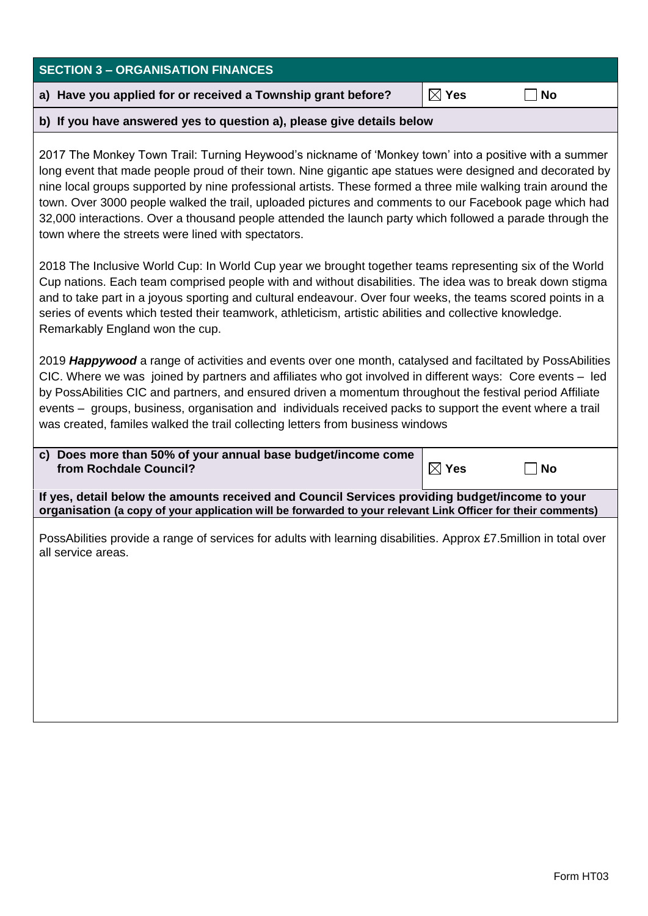| <b>SECTION 3 - ORGANISATION FINANCES</b>                                                                                                                                                                                                                                                                                                                                                                                                                                                                                                                                                                        |                 |           |  |
|-----------------------------------------------------------------------------------------------------------------------------------------------------------------------------------------------------------------------------------------------------------------------------------------------------------------------------------------------------------------------------------------------------------------------------------------------------------------------------------------------------------------------------------------------------------------------------------------------------------------|-----------------|-----------|--|
| a) Have you applied for or received a Township grant before?                                                                                                                                                                                                                                                                                                                                                                                                                                                                                                                                                    | $\boxtimes$ Yes | <b>No</b> |  |
| b) If you have answered yes to question a), please give details below                                                                                                                                                                                                                                                                                                                                                                                                                                                                                                                                           |                 |           |  |
| 2017 The Monkey Town Trail: Turning Heywood's nickname of 'Monkey town' into a positive with a summer<br>long event that made people proud of their town. Nine gigantic ape statues were designed and decorated by<br>nine local groups supported by nine professional artists. These formed a three mile walking train around the<br>town. Over 3000 people walked the trail, uploaded pictures and comments to our Facebook page which had<br>32,000 interactions. Over a thousand people attended the launch party which followed a parade through the<br>town where the streets were lined with spectators. |                 |           |  |
| 2018 The Inclusive World Cup: In World Cup year we brought together teams representing six of the World<br>Cup nations. Each team comprised people with and without disabilities. The idea was to break down stigma<br>and to take part in a joyous sporting and cultural endeavour. Over four weeks, the teams scored points in a<br>series of events which tested their teamwork, athleticism, artistic abilities and collective knowledge.<br>Remarkably England won the cup.                                                                                                                                |                 |           |  |
| 2019 Happywood a range of activities and events over one month, catalysed and faciltated by PossAbilities<br>CIC. Where we was joined by partners and affiliates who got involved in different ways: Core events - led<br>by PossAbilities CIC and partners, and ensured driven a momentum throughout the festival period Affiliate<br>events – groups, business, organisation and individuals received packs to support the event where a trail<br>was created, familes walked the trail collecting letters from business windows                                                                              |                 |           |  |
| c) Does more than 50% of your annual base budget/income come<br>from Rochdale Council?                                                                                                                                                                                                                                                                                                                                                                                                                                                                                                                          | $\boxtimes$ Yes | <b>No</b> |  |
| If yes, detail below the amounts received and Council Services providing budget/income to your<br>organisation (a copy of your application will be forwarded to your relevant Link Officer for their comments)                                                                                                                                                                                                                                                                                                                                                                                                  |                 |           |  |
| PossAbilities provide a range of services for adults with learning disabilities. Approx £7.5million in total over<br>all service areas.                                                                                                                                                                                                                                                                                                                                                                                                                                                                         |                 |           |  |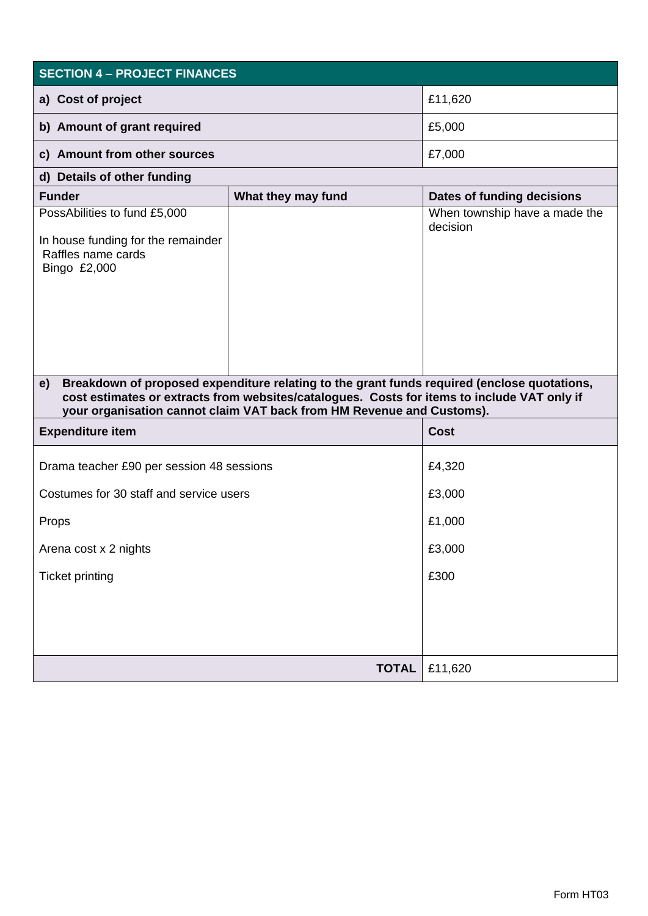| <b>SECTION 4 - PROJECT FINANCES</b>                                                                      |                                                                                                                                                                                                                                                                     |                                           |  |
|----------------------------------------------------------------------------------------------------------|---------------------------------------------------------------------------------------------------------------------------------------------------------------------------------------------------------------------------------------------------------------------|-------------------------------------------|--|
| a) Cost of project                                                                                       |                                                                                                                                                                                                                                                                     | £11,620                                   |  |
| b) Amount of grant required                                                                              |                                                                                                                                                                                                                                                                     | £5,000                                    |  |
| c) Amount from other sources                                                                             |                                                                                                                                                                                                                                                                     | £7,000                                    |  |
| d) Details of other funding                                                                              |                                                                                                                                                                                                                                                                     |                                           |  |
| <b>Funder</b>                                                                                            | What they may fund                                                                                                                                                                                                                                                  | Dates of funding decisions                |  |
| PossAbilities to fund £5,000<br>In house funding for the remainder<br>Raffles name cards<br>Bingo £2,000 |                                                                                                                                                                                                                                                                     | When township have a made the<br>decision |  |
| e)                                                                                                       | Breakdown of proposed expenditure relating to the grant funds required (enclose quotations,<br>cost estimates or extracts from websites/catalogues. Costs for items to include VAT only if<br>your organisation cannot claim VAT back from HM Revenue and Customs). |                                           |  |
| <b>Expenditure item</b>                                                                                  |                                                                                                                                                                                                                                                                     | Cost                                      |  |
| Drama teacher £90 per session 48 sessions                                                                |                                                                                                                                                                                                                                                                     | £4,320                                    |  |
| Costumes for 30 staff and service users                                                                  |                                                                                                                                                                                                                                                                     | £3,000                                    |  |
| Props                                                                                                    |                                                                                                                                                                                                                                                                     | £1,000                                    |  |
| Arena cost x 2 nights                                                                                    |                                                                                                                                                                                                                                                                     | £3,000                                    |  |
| <b>Ticket printing</b>                                                                                   |                                                                                                                                                                                                                                                                     | £300                                      |  |
|                                                                                                          |                                                                                                                                                                                                                                                                     |                                           |  |
|                                                                                                          | <b>TOTAL</b>                                                                                                                                                                                                                                                        | £11,620                                   |  |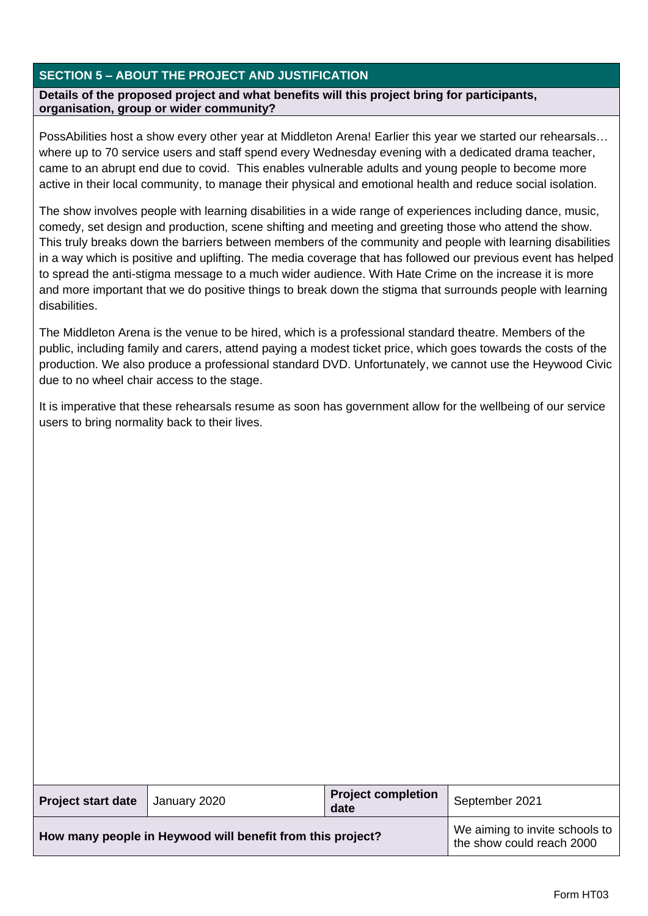### **SECTION 5 – ABOUT THE PROJECT AND JUSTIFICATION**

**Details of the proposed project and what benefits will this project bring for participants, organisation, group or wider community?**

PossAbilities host a show every other year at Middleton Arena! Earlier this year we started our rehearsals… where up to 70 service users and staff spend every Wednesday evening with a dedicated drama teacher, came to an abrupt end due to covid. This enables vulnerable adults and young people to become more active in their local community, to manage their physical and emotional health and reduce social isolation.

The show involves people with learning disabilities in a wide range of experiences including dance, music, comedy, set design and production, scene shifting and meeting and greeting those who attend the show. This truly breaks down the barriers between members of the community and people with learning disabilities in a way which is positive and uplifting. The media coverage that has followed our previous event has helped to spread the anti-stigma message to a much wider audience. With Hate Crime on the increase it is more and more important that we do positive things to break down the stigma that surrounds people with learning disabilities.

The Middleton Arena is the venue to be hired, which is a professional standard theatre. Members of the public, including family and carers, attend paying a modest ticket price, which goes towards the costs of the production. We also produce a professional standard DVD. Unfortunately, we cannot use the Heywood Civic due to no wheel chair access to the stage.

It is imperative that these rehearsals resume as soon has government allow for the wellbeing of our service users to bring normality back to their lives.

| <b>Project start date</b>                                  | January 2020 | <b>Project completion</b><br>date                           | September 2021 |
|------------------------------------------------------------|--------------|-------------------------------------------------------------|----------------|
| How many people in Heywood will benefit from this project? |              | We aiming to invite schools to<br>the show could reach 2000 |                |